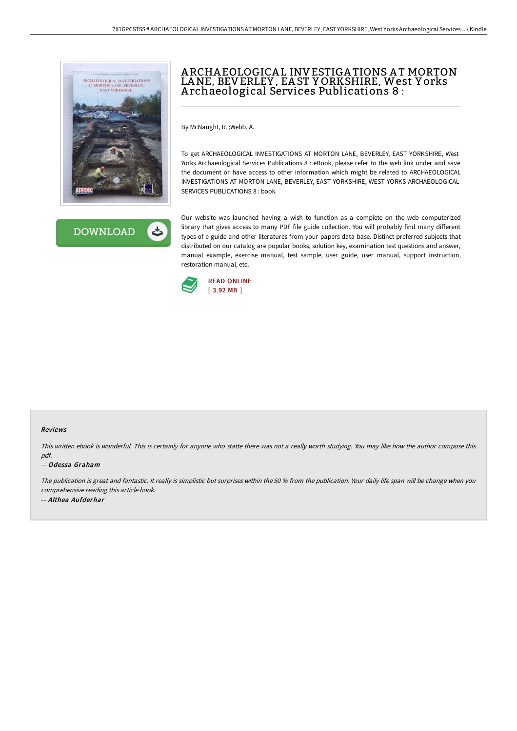



# A RCHA EOLOGICA L INVESTIGA TIONS A T MORTON LANE, BEVERLEY , EA ST Y ORKSHIRE, West Y orks A rchaeological Services Publications 8 :

By McNaught, R. ;Webb, A.

To get ARCHAEOLOGICAL INVESTIGATIONS AT MORTON LANE, BEVERLEY, EAST YORKSHIRE, West Yorks Archaeological Services Publications 8 : eBook, please refer to the web link under and save the document or have access to other information which might be related to ARCHAEOLOGICAL INVESTIGATIONS AT MORTON LANE, BEVERLEY, EAST YORKSHIRE, WEST YORKS ARCHAEOLOGICAL SERVICES PUBLICATIONS 8 : book.

Our website was launched having a wish to function as a complete on the web computerized library that gives access to many PDF file guide collection. You will probably find many different types of e-guide and other literatures from your papers data base. Distinct preferred subjects that distributed on our catalog are popular books, solution key, examination test questions and answer, manual example, exercise manual, test sample, user guide, user manual, support instruction, restoration manual, etc.



#### Reviews

This written ebook is wonderful. This is certainly for anyone who statte there was not <sup>a</sup> really worth studying. You may like how the author compose this pdf.

#### -- Odessa Graham

The publication is great and fantastic. It really is simplistic but surprises within the <sup>50</sup> % from the publication. Your daily life span will be change when you comprehensive reading this article book. -- Althea Aufderhar